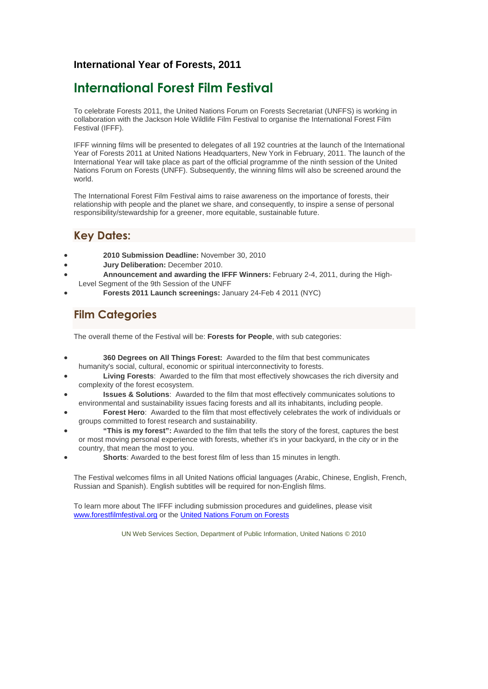#### **International Year of Forests, 2011**

# **International Forest Film Festival**

To celebrate Forests 2011, the United Nations Forum on Forests Secretariat (UNFFS) is working in collaboration with the Jackson Hole Wildlife Film Festival to organise the International Forest Film Festival (IFFF).

IFFF winning films will be presented to delegates of all 192 countries at the launch of the International Year of Forests 2011 at United Nations Headquarters, New York in February, 2011. The launch of the International Year will take place as part of the official programme of the ninth session of the United Nations Forum on Forests (UNFF). Subsequently, the winning films will also be screened around the world.

The International Forest Film Festival aims to raise awareness on the importance of forests, their relationship with people and the planet we share, and consequently, to inspire a sense of personal responsibility/stewardship for a greener, more equitable, sustainable future.

### **Key Dates:**

- **2010 Submission Deadline:** November 30, 2010
- **Jury Deliberation:** December 2010.
- **Announcement and awarding the IFFF Winners:** February 2-4, 2011, during the High-Level Segment of the 9th Session of the UNFF
- **Forests 2011 Launch screenings:** January 24-Feb 4 2011 (NYC)

### **Film Categories**

The overall theme of the Festival will be: **Forests for People**, with sub categories:

- **360 Degrees on All Things Forest:** Awarded to the film that best communicates humanity's social, cultural, economic or spiritual interconnectivity to forests.
- **Living Forests**: Awarded to the film that most effectively showcases the rich diversity and complexity of the forest ecosystem.
- **Issues & Solutions**: Awarded to the film that most effectively communicates solutions to environmental and sustainability issues facing forests and all its inhabitants, including people.
- **Forest Hero**: Awarded to the film that most effectively celebrates the work of individuals or groups committed to forest research and sustainability.
- **"This is my forest":** Awarded to the film that tells the story of the forest, captures the best or most moving personal experience with forests, whether it's in your backyard, in the city or in the country, that mean the most to you.
- **Shorts**: Awarded to the best forest film of less than 15 minutes in length.

The Festival welcomes films in all United Nations official languages (Arabic, Chinese, English, French, Russian and Spanish). English subtitles will be required for non-English films.

To learn more about The IFFF including submission procedures and guidelines, please visit www.forestfilmfestival.org or the United Nations Forum on Forests

UN Web Services Section, Department of Public Information, United Nations © 2010